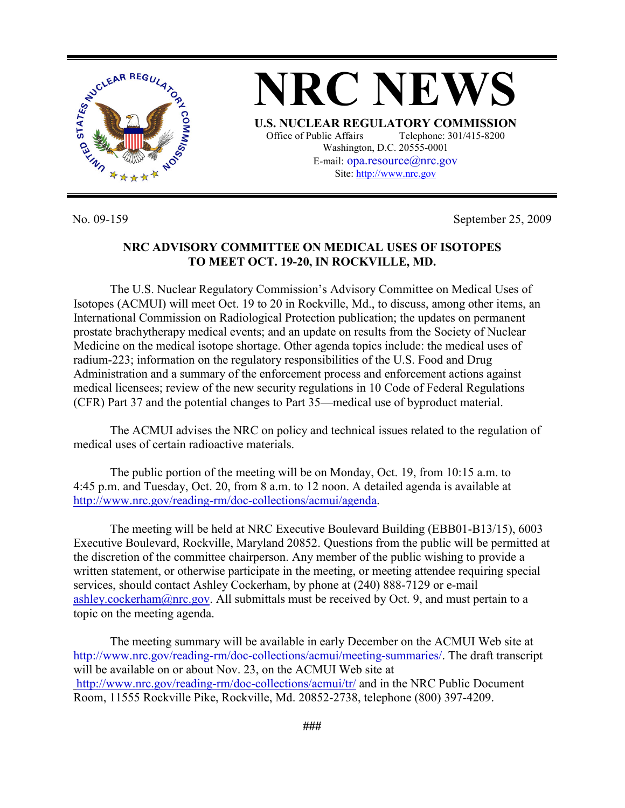

No. 09-159 September 25, 2009

## **NRC ADVISORY COMMITTEE ON MEDICAL USES OF ISOTOPES TO MEET OCT. 19-20, IN ROCKVILLE, MD.**

Site: http://www.nrc.gov

 The U.S. Nuclear Regulatory Commission's Advisory Committee on Medical Uses of Isotopes (ACMUI) will meet Oct. 19 to 20 in Rockville, Md., to discuss, among other items, an International Commission on Radiological Protection publication; the updates on permanent prostate brachytherapy medical events; and an update on results from the Society of Nuclear Medicine on the medical isotope shortage. Other agenda topics include: the medical uses of radium-223; information on the regulatory responsibilities of the U.S. Food and Drug Administration and a summary of the enforcement process and enforcement actions against medical licensees; review of the new security regulations in 10 Code of Federal Regulations (CFR) Part 37 and the potential changes to Part 35—medical use of byproduct material.

 The ACMUI advises the NRC on policy and technical issues related to the regulation of medical uses of certain radioactive materials.

 The public portion of the meeting will be on Monday, Oct. 19, from 10:15 a.m. to 4:45 p.m. and Tuesday, Oct. 20, from 8 a.m. to 12 noon. A detailed agenda is available at http://www.nrc.gov/reading-rm/doc-collections/acmui/agenda.

The meeting will be held at NRC Executive Boulevard Building (EBB01-B13/15), 6003 Executive Boulevard, Rockville, Maryland 20852. Questions from the public will be permitted at the discretion of the committee chairperson. Any member of the public wishing to provide a written statement, or otherwise participate in the meeting, or meeting attendee requiring special services, should contact Ashley Cockerham, by phone at (240) 888-7129 or e-mail ashley.cockerham@nrc.gov. All submittals must be received by Oct. 9, and must pertain to a topic on the meeting agenda.

 The meeting summary will be available in early December on the ACMUI Web site at http://www.nrc.gov/reading-rm/doc-collections/acmui/meeting-summaries/. The draft transcript will be available on or about Nov. 23, on the ACMUI Web site at http://www.nrc.gov/reading-rm/doc-collections/acmui/tr/ and in the NRC Public Document Room, 11555 Rockville Pike, Rockville, Md. 20852-2738, telephone (800) 397-4209.